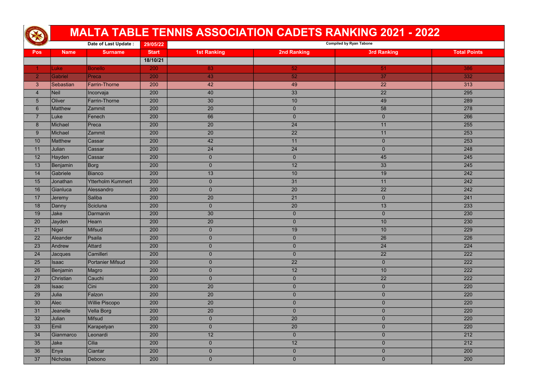|                  | Date of Last Update: |                          | 29/05/22     |                    | <b>Compiled by Ryan Tabone</b> |                    |                     |  |
|------------------|----------------------|--------------------------|--------------|--------------------|--------------------------------|--------------------|---------------------|--|
| <b>Pos</b>       | <b>Name</b>          | <b>Surname</b>           | <b>Start</b> | <b>1st Ranking</b> | <b>2nd Ranking</b>             | <b>3rd Ranking</b> | <b>Total Points</b> |  |
|                  |                      |                          | 18/10/21     |                    |                                |                    |                     |  |
|                  | <b>Luke</b>          | <b>Bonello</b>           | 200          | 83                 | 52 <sub>2</sub>                | 51                 | 386                 |  |
| $\overline{2}$   | Gabriel              | Preca                    | 200          | 43                 | 52                             | 37                 | 332                 |  |
| $\mathbf{3}$     | Sebastian            | Farrin-Thorne            | 200          | 42                 | 49                             | 22                 | 313                 |  |
| $\overline{4}$   | Neil                 | Incorvaja                | 200          | 40                 | 33                             | $\overline{22}$    | 295                 |  |
| $\overline{5}$   | Oliver               | <b>Farrin-Thorne</b>     | 200          | 30                 | 10 <sup>°</sup>                | 49                 | 289                 |  |
| $6\phantom{1}$   | Matthew              | <b>Zammit</b>            | 200          | 20                 | $\overline{0}$                 | 58                 | 278                 |  |
| $\overline{7}$   | Luke                 | Fenech                   | 200          | 66                 | $\overline{0}$                 | $\overline{0}$     | 266                 |  |
| $\boldsymbol{8}$ | Michael              | Preca                    | 200          | 20                 | 24                             | 11                 | 255                 |  |
| 9                | Michael              | <b>Zammit</b>            | 200          | 20                 | 22                             | 11                 | 253                 |  |
| 10               | Matthew              | Cassar                   | 200          | 42                 | 11                             | $\overline{0}$     | 253                 |  |
| 11               | <b>Julian</b>        | Cassar                   | 200          | 24                 | 24                             | $\overline{0}$     | 248                 |  |
| 12               | Hayden               | Cassar                   | 200          | $\overline{0}$     | $\overline{0}$                 | 45                 | 245                 |  |
| 13               | Benjamin             | Borg                     | 200          | $\overline{0}$     | 12                             | 33                 | 245                 |  |
| 14               | Gabriele             | Bianco                   | 200          | 13                 | 10 <sup>°</sup>                | 19                 | 242                 |  |
| 15               | Jonathan             | <b>Ytterholm Kummert</b> | 200          | $\overline{0}$     | 31                             | 11                 | 242                 |  |
| 16               | Gianluca             | Alessandro               | 200          | $\overline{0}$     | 20                             | $\overline{22}$    | 242                 |  |
| 17               | Jeremy               | Saliba                   | 200          | 20                 | 21                             | $\overline{0}$     | 241                 |  |
| 18               | Danny                | Scicluna                 | 200          | $\overline{0}$     | 20                             | 13                 | 233                 |  |
| 19               | Jake                 | Darmanin                 | 200          | 30                 | $\overline{0}$                 | $\overline{0}$     | 230                 |  |
| 20               | <b>Jayden</b>        | Hearn                    | 200          | 20                 | $\mathbf 0$                    | 10                 | 230                 |  |
| 21               | Nigel                | Mifsud                   | 200          | $\Omega$           | 19                             | 10 <sup>°</sup>    | 229                 |  |
| 22               | Aleander             | Psaila                   | 200          | $\overline{0}$     | $\overline{0}$                 | 26                 | 226                 |  |
| 23               | Andrew               | Attard                   | 200          | $\overline{0}$     | $\overline{0}$                 | $\overline{24}$    | 224                 |  |
| 24               | Jacques              | Camilleri                | 200          | $\overline{0}$     | $\overline{0}$                 | 22                 | 222                 |  |
| 25               | <b>Isaac</b>         | Portanier Mifsud         | 200          | $\overline{0}$     | $\overline{22}$                | $\overline{0}$     | 222                 |  |
| 26               | Benjamin             | Magro                    | 200          | $\mathbf{0}$       | 12                             | 10                 | 222                 |  |
| 27               | Christian            | Cauchi                   | 200          | $\overline{0}$     | $\overline{0}$                 | $\overline{22}$    | 222                 |  |
| 28               | <b>Isaac</b>         | Cini                     | 200          | $\overline{20}$    | $\overline{0}$                 | $\overline{0}$     | 220                 |  |
| 29               | Julia                | Falzon                   | 200          | 20                 | $\overline{0}$                 | $\overline{0}$     | 220                 |  |
| 30               | Alec                 | Willie Piscopo           | 200          | 20                 | $\overline{0}$                 | $\overline{0}$     | 220                 |  |
| 31               | Jeanelle             | Vella Borg               | 200          | 20                 | $\overline{0}$                 | $\overline{0}$     | 220                 |  |
| 32               | <b>Julian</b>        | Mifsud                   | 200          | $\overline{0}$     | 20                             | $\overline{0}$     | 220                 |  |
| 33               | Emil                 | Karapetyan               | 200          | $\overline{0}$     | 20                             | $\overline{0}$     | 220                 |  |
| 34               | Gianmarco            | Leonardi                 | 200          | 12                 | $\overline{0}$                 | $\overline{0}$     | 212                 |  |
| 35               | Jake                 | Cilia                    | 200          | $\overline{0}$     | 12                             | $\overline{0}$     | 212                 |  |
| 36               | ∣Enya                | Ciantar                  | 200          | $\overline{0}$     | $\overline{0}$                 | $\overline{0}$     | 200                 |  |
| 37               | Nicholas             | Debono                   | 200          | $\overline{0}$     | $\overline{0}$                 | $\overline{0}$     | 200                 |  |